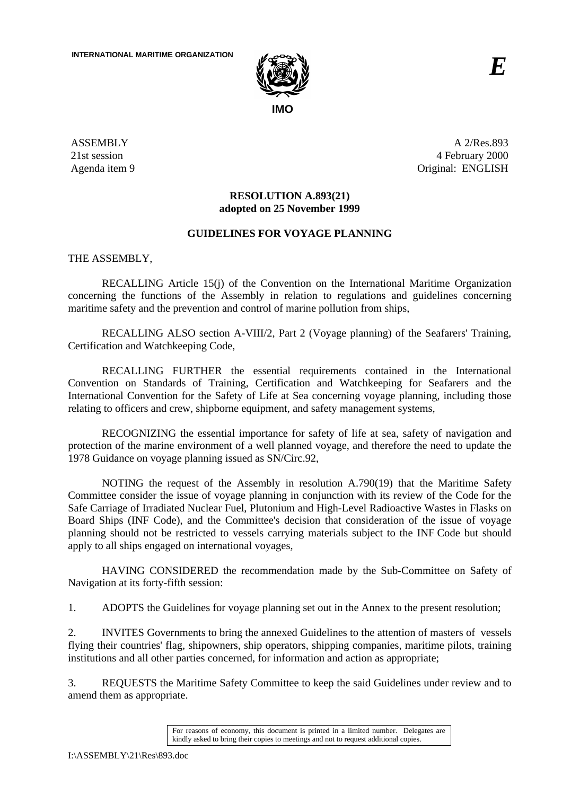

ASSEMBLY 21st session Agenda item 9

A 2/Res.893 4 February 2000 Original: ENGLISH

# **RESOLUTION A.893(21) adopted on 25 November 1999**

## **GUIDELINES FOR VOYAGE PLANNING**

THE ASSEMBLY,

RECALLING Article 15(j) of the Convention on the International Maritime Organization concerning the functions of the Assembly in relation to regulations and guidelines concerning maritime safety and the prevention and control of marine pollution from ships,

RECALLING ALSO section A-VIII/2, Part 2 (Voyage planning) of the Seafarers' Training, Certification and Watchkeeping Code,

RECALLING FURTHER the essential requirements contained in the International Convention on Standards of Training, Certification and Watchkeeping for Seafarers and the International Convention for the Safety of Life at Sea concerning voyage planning, including those relating to officers and crew, shipborne equipment, and safety management systems,

RECOGNIZING the essential importance for safety of life at sea, safety of navigation and protection of the marine environment of a well planned voyage, and therefore the need to update the 1978 Guidance on voyage planning issued as SN/Circ.92,

NOTING the request of the Assembly in resolution A.790(19) that the Maritime Safety Committee consider the issue of voyage planning in conjunction with its review of the Code for the Safe Carriage of Irradiated Nuclear Fuel, Plutonium and High-Level Radioactive Wastes in Flasks on Board Ships (INF Code), and the Committee's decision that consideration of the issue of voyage planning should not be restricted to vessels carrying materials subject to the INF Code but should apply to all ships engaged on international voyages,

HAVING CONSIDERED the recommendation made by the Sub-Committee on Safety of Navigation at its forty-fifth session:

1. ADOPTS the Guidelines for voyage planning set out in the Annex to the present resolution;

2. INVITES Governments to bring the annexed Guidelines to the attention of masters of vessels flying their countries' flag, shipowners, ship operators, shipping companies, maritime pilots, training institutions and all other parties concerned, for information and action as appropriate;

3. REQUESTS the Maritime Safety Committee to keep the said Guidelines under review and to amend them as appropriate.

For reasons of economy, this document is printed in a limited number. Delegates are kindly asked to bring their copies to meetings and not to request additional copies.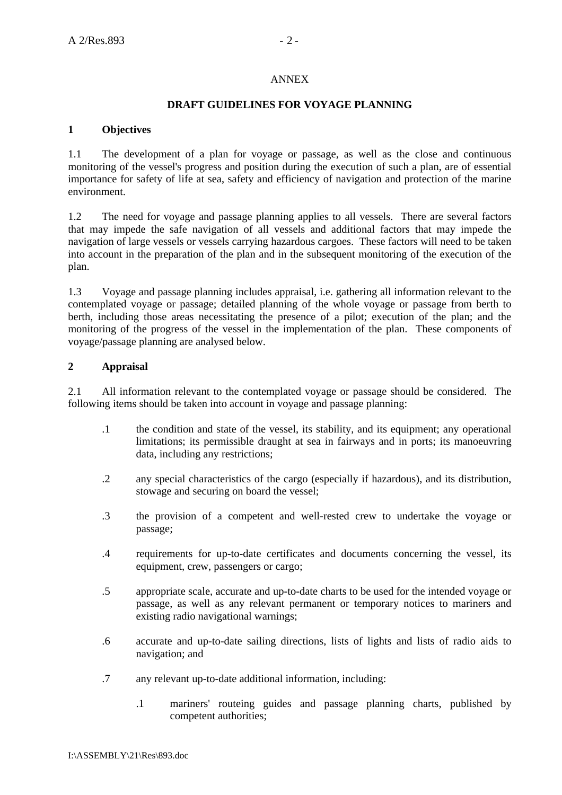### ANNEX

### **DRAFT GUIDELINES FOR VOYAGE PLANNING**

### **1 Objectives**

1.1 The development of a plan for voyage or passage, as well as the close and continuous monitoring of the vessel's progress and position during the execution of such a plan, are of essential importance for safety of life at sea, safety and efficiency of navigation and protection of the marine environment.

1.2 The need for voyage and passage planning applies to all vessels. There are several factors that may impede the safe navigation of all vessels and additional factors that may impede the navigation of large vessels or vessels carrying hazardous cargoes. These factors will need to be taken into account in the preparation of the plan and in the subsequent monitoring of the execution of the plan.

1.3 Voyage and passage planning includes appraisal, i.e. gathering all information relevant to the contemplated voyage or passage; detailed planning of the whole voyage or passage from berth to berth, including those areas necessitating the presence of a pilot; execution of the plan; and the monitoring of the progress of the vessel in the implementation of the plan. These components of voyage/passage planning are analysed below.

## **2 Appraisal**

2.1 All information relevant to the contemplated voyage or passage should be considered. The following items should be taken into account in voyage and passage planning:

- .1 the condition and state of the vessel, its stability, and its equipment; any operational limitations; its permissible draught at sea in fairways and in ports; its manoeuvring data, including any restrictions;
- .2 any special characteristics of the cargo (especially if hazardous), and its distribution, stowage and securing on board the vessel;
- .3 the provision of a competent and well-rested crew to undertake the voyage or passage;
- .4 requirements for up-to-date certificates and documents concerning the vessel, its equipment, crew, passengers or cargo;
- .5 appropriate scale, accurate and up-to-date charts to be used for the intended voyage or passage, as well as any relevant permanent or temporary notices to mariners and existing radio navigational warnings;
- .6 accurate and up-to-date sailing directions, lists of lights and lists of radio aids to navigation; and
- .7 any relevant up-to-date additional information, including:
	- .1 mariners' routeing guides and passage planning charts, published by competent authorities;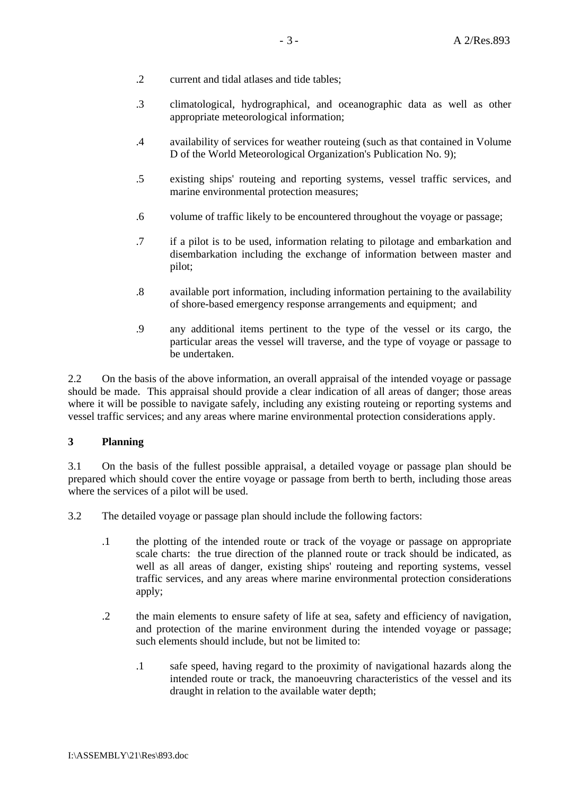- .2 current and tidal atlases and tide tables;
- .3 climatological, hydrographical, and oceanographic data as well as other appropriate meteorological information;
- .4 availability of services for weather routeing (such as that contained in Volume D of the World Meteorological Organization's Publication No. 9);
- .5 existing ships' routeing and reporting systems, vessel traffic services, and marine environmental protection measures;
- .6 volume of traffic likely to be encountered throughout the voyage or passage;
- .7 if a pilot is to be used, information relating to pilotage and embarkation and disembarkation including the exchange of information between master and pilot;
- .8 available port information, including information pertaining to the availability of shore-based emergency response arrangements and equipment; and
- .9 any additional items pertinent to the type of the vessel or its cargo, the particular areas the vessel will traverse, and the type of voyage or passage to be undertaken.

2.2 On the basis of the above information, an overall appraisal of the intended voyage or passage should be made. This appraisal should provide a clear indication of all areas of danger; those areas where it will be possible to navigate safely, including any existing routeing or reporting systems and vessel traffic services; and any areas where marine environmental protection considerations apply.

#### **3 Planning**

3.1 On the basis of the fullest possible appraisal, a detailed voyage or passage plan should be prepared which should cover the entire voyage or passage from berth to berth, including those areas where the services of a pilot will be used.

3.2 The detailed voyage or passage plan should include the following factors:

- .1 the plotting of the intended route or track of the voyage or passage on appropriate scale charts: the true direction of the planned route or track should be indicated, as well as all areas of danger, existing ships' routeing and reporting systems, vessel traffic services, and any areas where marine environmental protection considerations apply;
- .2 the main elements to ensure safety of life at sea, safety and efficiency of navigation, and protection of the marine environment during the intended voyage or passage; such elements should include, but not be limited to:
	- .1 safe speed, having regard to the proximity of navigational hazards along the intended route or track, the manoeuvring characteristics of the vessel and its draught in relation to the available water depth;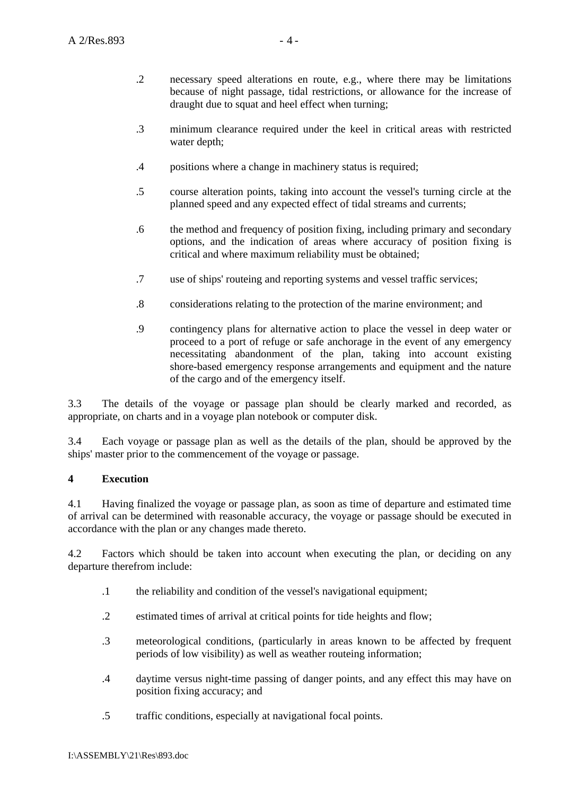- .2 necessary speed alterations en route, e.g., where there may be limitations because of night passage, tidal restrictions, or allowance for the increase of draught due to squat and heel effect when turning;
- .3 minimum clearance required under the keel in critical areas with restricted water depth;
- .4 positions where a change in machinery status is required;
- .5 course alteration points, taking into account the vessel's turning circle at the planned speed and any expected effect of tidal streams and currents;
- .6 the method and frequency of position fixing, including primary and secondary options, and the indication of areas where accuracy of position fixing is critical and where maximum reliability must be obtained;
- .7 use of ships' routeing and reporting systems and vessel traffic services;
- .8 considerations relating to the protection of the marine environment; and
- .9 contingency plans for alternative action to place the vessel in deep water or proceed to a port of refuge or safe anchorage in the event of any emergency necessitating abandonment of the plan, taking into account existing shore-based emergency response arrangements and equipment and the nature of the cargo and of the emergency itself.

3.3 The details of the voyage or passage plan should be clearly marked and recorded, as appropriate, on charts and in a voyage plan notebook or computer disk.

3.4 Each voyage or passage plan as well as the details of the plan, should be approved by the ships' master prior to the commencement of the voyage or passage.

## **4 Execution**

4.1 Having finalized the voyage or passage plan, as soon as time of departure and estimated time of arrival can be determined with reasonable accuracy, the voyage or passage should be executed in accordance with the plan or any changes made thereto.

4.2 Factors which should be taken into account when executing the plan, or deciding on any departure therefrom include:

- .1 the reliability and condition of the vessel's navigational equipment;
- .2 estimated times of arrival at critical points for tide heights and flow;
- .3 meteorological conditions, (particularly in areas known to be affected by frequent periods of low visibility) as well as weather routeing information;
- .4 daytime versus night-time passing of danger points, and any effect this may have on position fixing accuracy; and
- .5 traffic conditions, especially at navigational focal points.